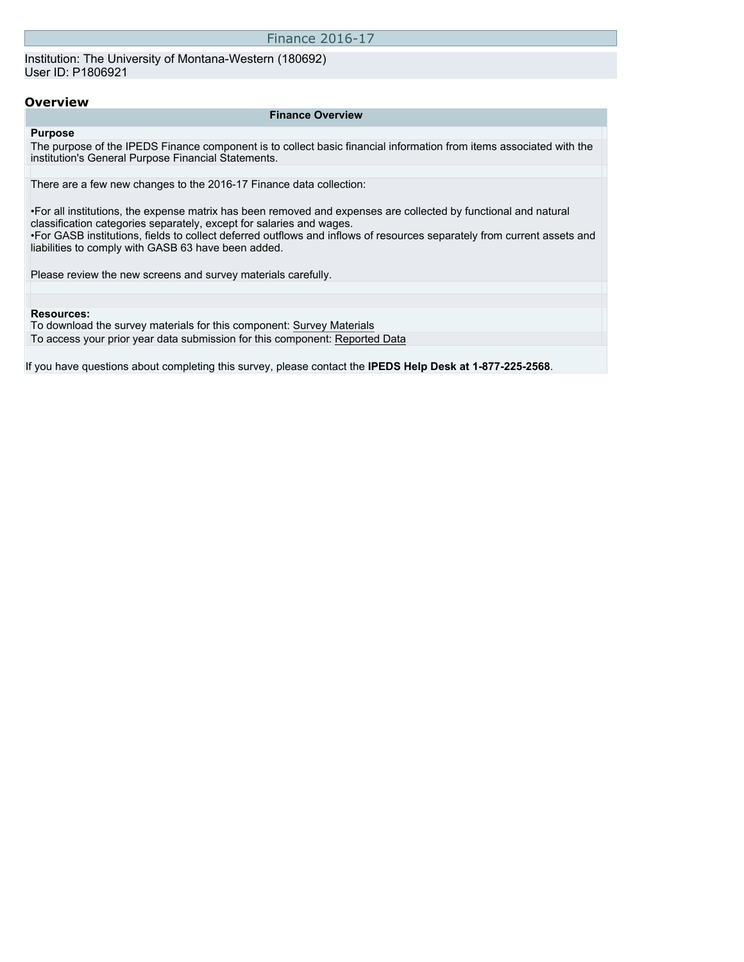### Finance 2016-17

Institution: The University of Montana-Western (180692) User ID: P1806921

## **Overview**

#### **Finance Overview**

## **Purpose**

The purpose of the IPEDS Finance component is to collect basic financial information from items associated with the institution's General Purpose Financial Statements.

There are a few new changes to the 2016-17 Finance data collection:

•For all institutions, the expense matrix has been removed and expenses are collected by functional and natural classification categories separately, except for salaries and wages. •For GASB institutions, fields to collect deferred outflows and inflows of resources separately from current assets and liabilities to comply with GASB 63 have been added.

Please review the new screens and survey materials carefully.

#### **Resources:**

To download the survey materials for this component: [Survey Materials](https://surveys.nces.ed.gov/ipeds/VisIndex.aspx) To access your prior year data submission for this component: [Reported Data](http://192.168.102.153/IPEDS/PriorYearDataRedirect.aspx?survey_id=5)

If you have questions about completing this survey, please contact the **IPEDS Help Desk at 1-877-225-2568**.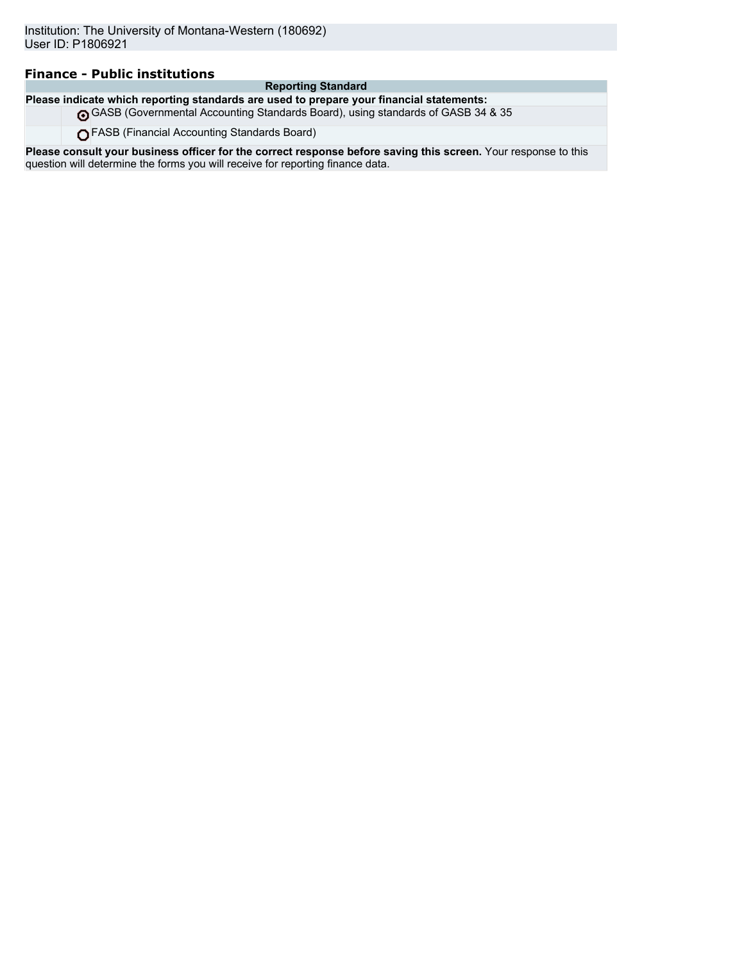# **Finance - Public institutions**

## **Reporting Standard**

**Please indicate which reporting standards are used to prepare your financial statements:**

GASB (Governmental Accounting Standards Board), using standards of GASB 34 & 35

FASB (Financial Accounting Standards Board)

**Please consult your business officer for the correct response before saving this screen.** Your response to this question will determine the forms you will receive for reporting finance data.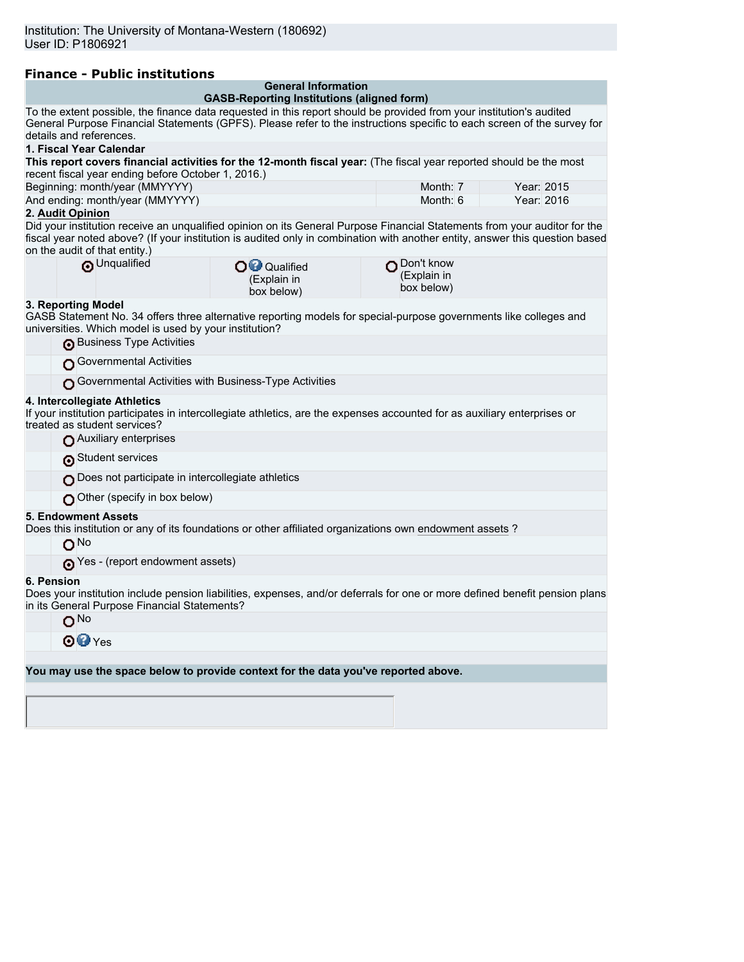| <b>Finance - Public institutions</b>                                                                                                                                                                                                            |                                                   |                           |            |  |  |
|-------------------------------------------------------------------------------------------------------------------------------------------------------------------------------------------------------------------------------------------------|---------------------------------------------------|---------------------------|------------|--|--|
|                                                                                                                                                                                                                                                 | <b>General Information</b>                        |                           |            |  |  |
|                                                                                                                                                                                                                                                 | <b>GASB-Reporting Institutions (aligned form)</b> |                           |            |  |  |
| To the extent possible, the finance data requested in this report should be provided from your institution's audited<br>General Purpose Financial Statements (GPFS). Please refer to the instructions specific to each screen of the survey for |                                                   |                           |            |  |  |
| details and references.                                                                                                                                                                                                                         |                                                   |                           |            |  |  |
| 1. Fiscal Year Calendar                                                                                                                                                                                                                         |                                                   |                           |            |  |  |
| This report covers financial activities for the 12-month fiscal year: (The fiscal year reported should be the most                                                                                                                              |                                                   |                           |            |  |  |
| recent fiscal year ending before October 1, 2016.)                                                                                                                                                                                              |                                                   |                           |            |  |  |
| Beginning: month/year (MMYYYY)                                                                                                                                                                                                                  |                                                   | Month: 7                  | Year: 2015 |  |  |
| And ending: month/year (MMYYYY)                                                                                                                                                                                                                 |                                                   | Month: 6                  | Year: 2016 |  |  |
| 2. Audit Opinion                                                                                                                                                                                                                                |                                                   |                           |            |  |  |
| Did your institution receive an unqualified opinion on its General Purpose Financial Statements from your auditor for the                                                                                                                       |                                                   |                           |            |  |  |
| fiscal year noted above? (If your institution is audited only in combination with another entity, answer this question based                                                                                                                    |                                                   |                           |            |  |  |
| on the audit of that entity.)                                                                                                                                                                                                                   |                                                   |                           |            |  |  |
| O Unqualified                                                                                                                                                                                                                                   | O <sup>O</sup> Qualified                          | Don't know<br>(Explain in |            |  |  |
|                                                                                                                                                                                                                                                 | (Explain in                                       | box below)                |            |  |  |
| 3. Reporting Model                                                                                                                                                                                                                              | box below)                                        |                           |            |  |  |
| GASB Statement No. 34 offers three alternative reporting models for special-purpose governments like colleges and                                                                                                                               |                                                   |                           |            |  |  |
| universities. Which model is used by your institution?                                                                                                                                                                                          |                                                   |                           |            |  |  |
| Business Type Activities                                                                                                                                                                                                                        |                                                   |                           |            |  |  |
|                                                                                                                                                                                                                                                 |                                                   |                           |            |  |  |
| Governmental Activities                                                                                                                                                                                                                         |                                                   |                           |            |  |  |
| Governmental Activities with Business-Type Activities                                                                                                                                                                                           |                                                   |                           |            |  |  |
| 4. Intercollegiate Athletics                                                                                                                                                                                                                    |                                                   |                           |            |  |  |
| If your institution participates in intercollegiate athletics, are the expenses accounted for as auxiliary enterprises or                                                                                                                       |                                                   |                           |            |  |  |
| treated as student services?                                                                                                                                                                                                                    |                                                   |                           |            |  |  |
| Auxiliary enterprises                                                                                                                                                                                                                           |                                                   |                           |            |  |  |
| Student services                                                                                                                                                                                                                                |                                                   |                           |            |  |  |
| Does not participate in intercollegiate athletics                                                                                                                                                                                               |                                                   |                           |            |  |  |
| Other (specify in box below)                                                                                                                                                                                                                    |                                                   |                           |            |  |  |
| <b>5. Endowment Assets</b>                                                                                                                                                                                                                      |                                                   |                           |            |  |  |
| Does this institution or any of its foundations or other affiliated organizations own endowment assets ?                                                                                                                                        |                                                   |                           |            |  |  |
| ONo                                                                                                                                                                                                                                             |                                                   |                           |            |  |  |
| (report endowment assets)                                                                                                                                                                                                                       |                                                   |                           |            |  |  |
| 6. Pension                                                                                                                                                                                                                                      |                                                   |                           |            |  |  |
| Does your institution include pension liabilities, expenses, and/or deferrals for one or more defined benefit pension plans                                                                                                                     |                                                   |                           |            |  |  |
| in its General Purpose Financial Statements?                                                                                                                                                                                                    |                                                   |                           |            |  |  |
| O <sub>No</sub>                                                                                                                                                                                                                                 |                                                   |                           |            |  |  |
| <b>⊙</b> <sup>o</sup> Yes                                                                                                                                                                                                                       |                                                   |                           |            |  |  |
|                                                                                                                                                                                                                                                 |                                                   |                           |            |  |  |
| You may use the space below to provide context for the data you've reported above.                                                                                                                                                              |                                                   |                           |            |  |  |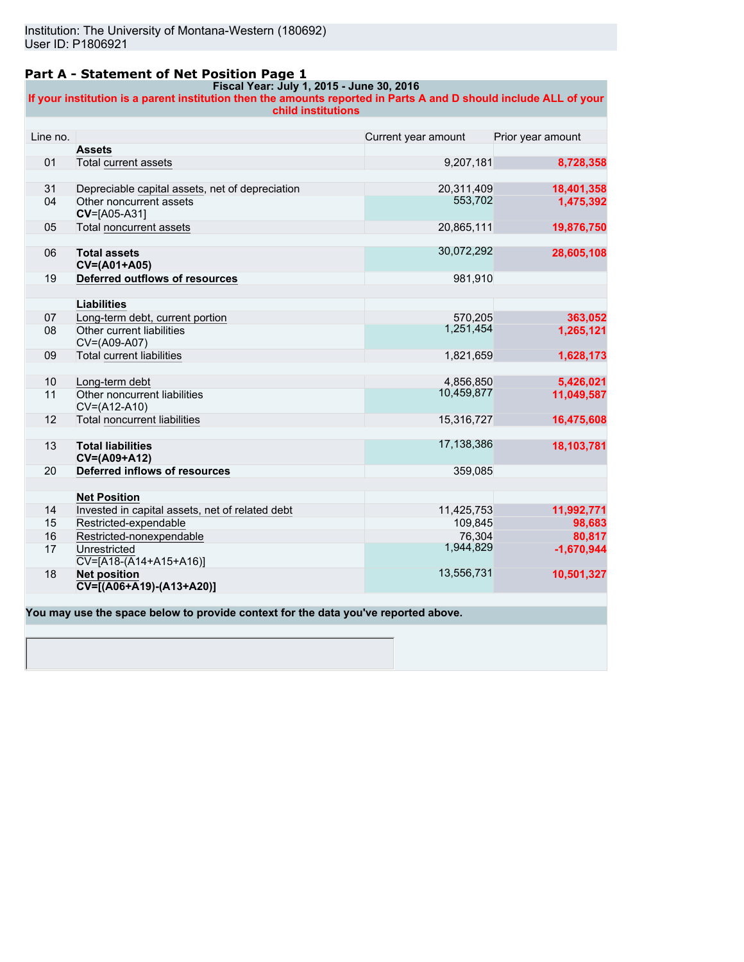# **Part A - Statement of Net Position Page 1**

# **Fiscal Year: July 1, 2015 - June 30, 2016**

**If your institution is a parent institution then the amounts reported in Parts A and D should include ALL of your child institutions**

| Line no. |                                                                  | Current year amount | Prior year amount |
|----------|------------------------------------------------------------------|---------------------|-------------------|
|          | <b>Assets</b>                                                    |                     |                   |
| 01       | Total current assets                                             | 9,207,181           | 8,728,358         |
|          |                                                                  |                     |                   |
| 31       | Depreciable capital assets, net of depreciation                  | 20,311,409          | 18,401,358        |
| 04       | Other noncurrent assets<br>CV=[A05-A31]                          | 553,702             | 1,475,392         |
| 05       | <b>Total noncurrent assets</b>                                   | 20,865,111          | 19,876,750        |
|          |                                                                  |                     |                   |
| 06       | <b>Total assets</b><br>CV=(A01+A05)                              | 30,072,292          | 28,605,108        |
| 19       | Deferred outflows of resources                                   | 981,910             |                   |
|          |                                                                  |                     |                   |
|          | Liabilities                                                      |                     |                   |
| 07       | Long-term debt, current portion                                  | 570.205             | 363,052           |
| 08       | Other current liabilities<br>CV=(A09-A07)                        | 1,251,454           | 1,265,121         |
| 09       | <b>Total current liabilities</b>                                 | 1,821,659           | 1,628,173         |
|          |                                                                  |                     |                   |
| 10       | Long-term debt                                                   | 4,856,850           | 5,426,021         |
| 11       | Other noncurrent liabilities<br>CV=(A12-A10)                     | 10,459,877          | 11,049,587        |
| 12       | <b>Total noncurrent liabilities</b>                              | 15,316,727          | 16,475,608        |
|          |                                                                  |                     |                   |
| 13       | <b>Total liabilities</b><br>CV=(A09+A12)                         | 17,138,386          | 18,103,781        |
| 20       | Deferred inflows of resources                                    | 359,085             |                   |
|          |                                                                  |                     |                   |
|          | <b>Net Position</b>                                              |                     |                   |
| 14       | Invested in capital assets, net of related debt                  | 11,425,753          | 11,992,771        |
| 15       | Restricted-expendable                                            | 109,845             | 98,683            |
| 16       | Restricted-nonexpendable                                         | 76,304              | 80,817            |
| 17       | Unrestricted<br>$\overline{CV=[A18-(A14+A15+A16)]}$              | 1,944,829           | $-1,670,944$      |
| 18       | <b>Net position</b><br>$\overline{CV}$ = [(A06+A19) - (A13+A20)] | 13,556,731          | 10,501,327        |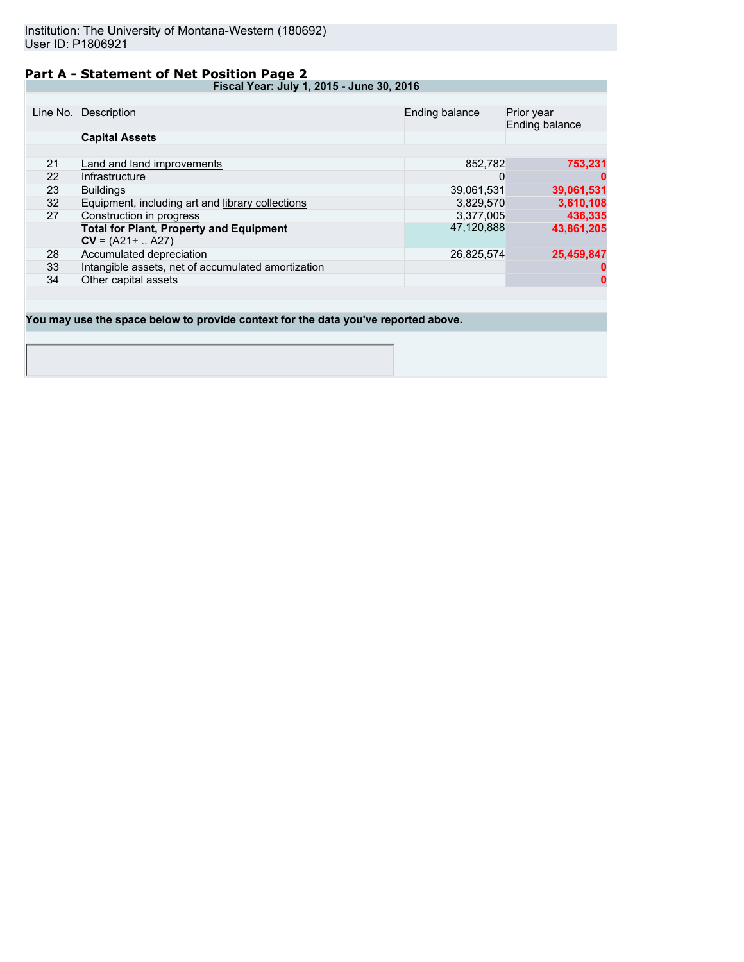# **Part A - Statement of Net Position Page 2**

**Fiscal Year: July 1, 2015 - June 30, 2016**

|    | Line No. Description                               | Ending balance | Prior year<br>Ending balance |
|----|----------------------------------------------------|----------------|------------------------------|
|    | <b>Capital Assets</b>                              |                |                              |
|    |                                                    |                |                              |
| 21 | Land and land improvements                         | 852.782        | 753,231                      |
| 22 | Infrastructure                                     | O              |                              |
| 23 | <b>Buildings</b>                                   | 39,061,531     | 39,061,531                   |
| 32 | Equipment, including art and library collections   | 3,829,570      | 3,610,108                    |
| 27 | Construction in progress                           | 3.377.005      | 436,335                      |
|    | <b>Total for Plant, Property and Equipment</b>     | 47.120.888     | 43,861,205                   |
|    | $CV = (A21 +  A27)$                                |                |                              |
| 28 | Accumulated depreciation                           | 26,825,574     | 25,459,847                   |
| 33 | Intangible assets, net of accumulated amortization |                |                              |
| 34 | Other capital assets                               |                | 0                            |
|    |                                                    |                |                              |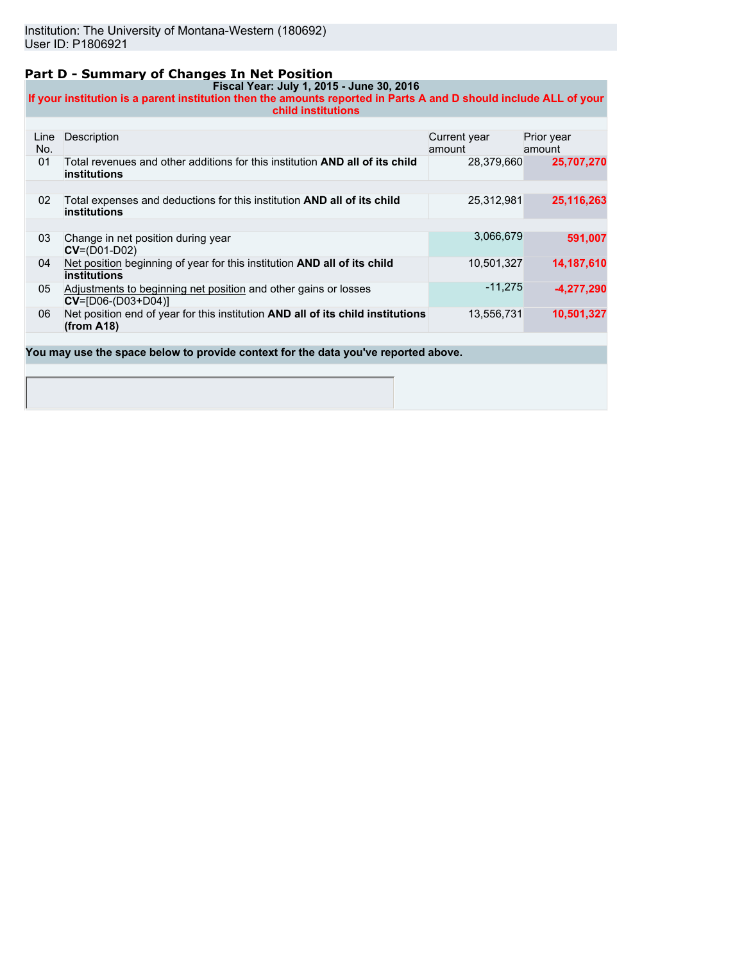# **Part D - Summary of Changes In Net Position**

#### **Fiscal Year: July 1, 2015 - June 30, 2016 If your institution is a parent institution then the amounts reported in Parts A and D should include ALL of your child institutions**

| Line<br>No. | Description                                                                                                | Current year<br>amount | Prior year<br>amount |
|-------------|------------------------------------------------------------------------------------------------------------|------------------------|----------------------|
| 01          | Total revenues and other additions for this institution <b>AND all of its child</b><br><b>institutions</b> | 28.379.660             | 25,707,270           |
|             |                                                                                                            |                        |                      |
| 02          | Total expenses and deductions for this institution AND all of its child<br><b>institutions</b>             | 25,312,981             | 25,116,263           |
|             |                                                                                                            |                        |                      |
| 03          | Change in net position during year<br>$CV=(D01-D02)$                                                       | 3,066,679              | 591,007              |
| 04          | Net position beginning of year for this institution AND all of its child<br><b>institutions</b>            | 10,501,327             | 14,187,610           |
| 05          | Adjustments to beginning net position and other gains or losses<br>$CV = [D06-(D03+D04)]$                  | $-11.275$              | -4,277,290           |
| 06          | Net position end of year for this institution AND all of its child institutions<br>(from A18)              | 13,556,731             | 10,501,327           |
|             |                                                                                                            |                        |                      |
|             | You may use the space below to provide context for the data you've reported above.                         |                        |                      |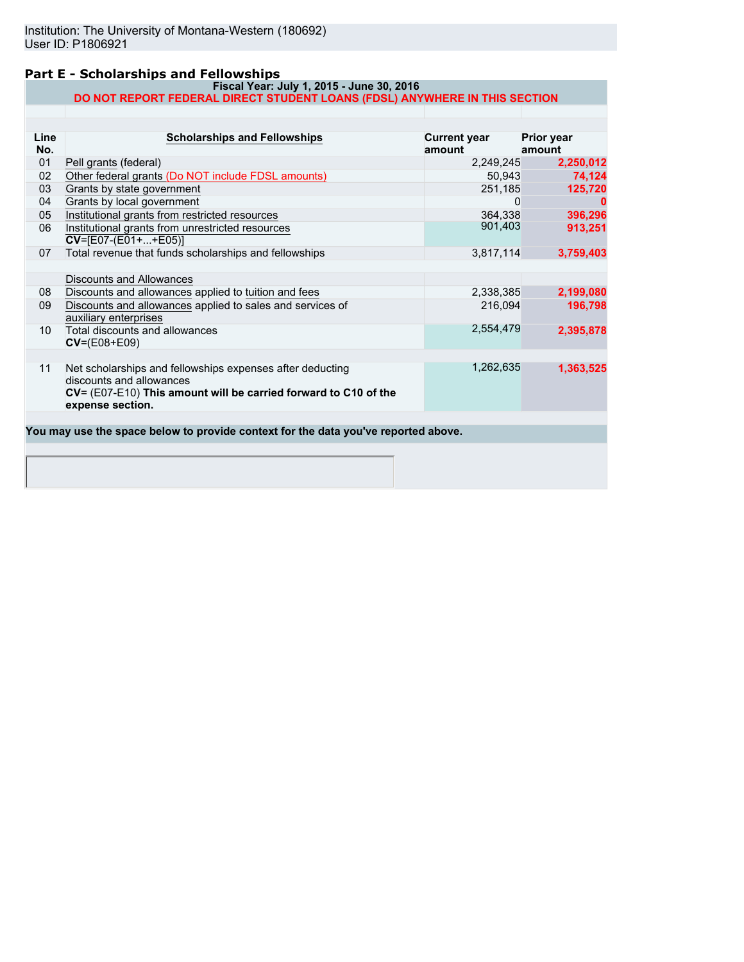# **Part E - Scholarships and Fellowships**

#### **Fiscal Year: July 1, 2015 - June 30, 2016 DO NOT REPORT FEDERAL DIRECT STUDENT LOANS (FDSL) ANYWHERE IN THIS SECTION**

| Line<br>No. | <b>Scholarships and Fellowships</b>                                                                                                                                          | <b>Current year</b><br>amount | <b>Prior year</b><br>amount |
|-------------|------------------------------------------------------------------------------------------------------------------------------------------------------------------------------|-------------------------------|-----------------------------|
| 01          | Pell grants (federal)                                                                                                                                                        | 2,249,245                     | 2,250,012                   |
| 02          | Other federal grants (Do NOT include FDSL amounts)                                                                                                                           | 50,943                        | 74,124                      |
| 03          | Grants by state government                                                                                                                                                   | 251,185                       | 125,720                     |
| 04          | Grants by local government                                                                                                                                                   |                               |                             |
| 05          | Institutional grants from restricted resources                                                                                                                               | 364,338                       | 396,296                     |
| 06          | Institutional grants from unrestricted resources<br>$CV=[E07-(E01++E05)]$                                                                                                    | 901,403                       | 913,251                     |
| 07          | Total revenue that funds scholarships and fellowships                                                                                                                        | 3,817,114                     | 3,759,403                   |
|             |                                                                                                                                                                              |                               |                             |
|             | Discounts and Allowances                                                                                                                                                     |                               |                             |
| 08          | Discounts and allowances applied to tuition and fees                                                                                                                         | 2,338,385                     | 2,199,080                   |
| 09          | Discounts and allowances applied to sales and services of<br>auxiliary enterprises                                                                                           | 216,094                       | 196,798                     |
| 10          | Total discounts and allowances<br>$CV=(E08+E09)$                                                                                                                             | 2,554,479                     | 2,395,878                   |
| 11          | Net scholarships and fellowships expenses after deducting<br>discounts and allowances<br>CV= (E07-E10) This amount will be carried forward to C10 of the<br>expense section. | 1,262,635                     | 1,363,525                   |
|             | You may use the space below to provide context for the data you've reported above.                                                                                           |                               |                             |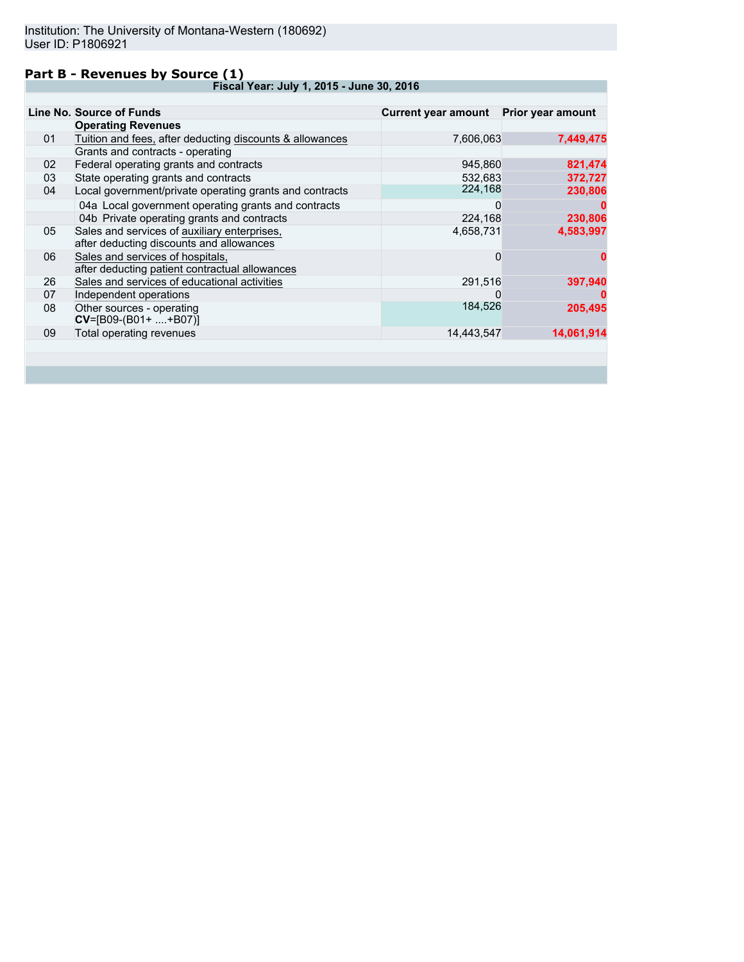# **Part B - Revenues by Source (1)**

**Fiscal Year: July 1, 2015 - June 30, 2016**

|    | Line No. Source of Funds                                 | <b>Current year amount</b> | Prior year amount |
|----|----------------------------------------------------------|----------------------------|-------------------|
|    | <b>Operating Revenues</b>                                |                            |                   |
| 01 | Tuition and fees, after deducting discounts & allowances | 7,606,063                  | 7,449,475         |
|    | Grants and contracts - operating                         |                            |                   |
| 02 | Federal operating grants and contracts                   | 945,860                    | 821,474           |
| 03 | State operating grants and contracts                     | 532,683                    | 372,727           |
| 04 | Local government/private operating grants and contracts  | 224,168                    | 230,806           |
|    | 04a Local government operating grants and contracts      | 0                          |                   |
|    | 04b Private operating grants and contracts               | 224,168                    | 230,806           |
| 05 | Sales and services of auxiliary enterprises,             | 4,658,731                  | 4,583,997         |
|    | after deducting discounts and allowances                 |                            |                   |
| 06 | Sales and services of hospitals,                         | 0                          | o                 |
|    | after deducting patient contractual allowances           |                            |                   |
| 26 | Sales and services of educational activities             | 291,516                    | 397,940           |
| 07 | Independent operations                                   | 0                          |                   |
| 08 | Other sources - operating                                | 184,526                    | 205,495           |
|    | $CV=[B09-(B01+ +B07)]$                                   |                            |                   |
| 09 | Total operating revenues                                 | 14,443,547                 | 14,061,914        |
|    |                                                          |                            |                   |
|    |                                                          |                            |                   |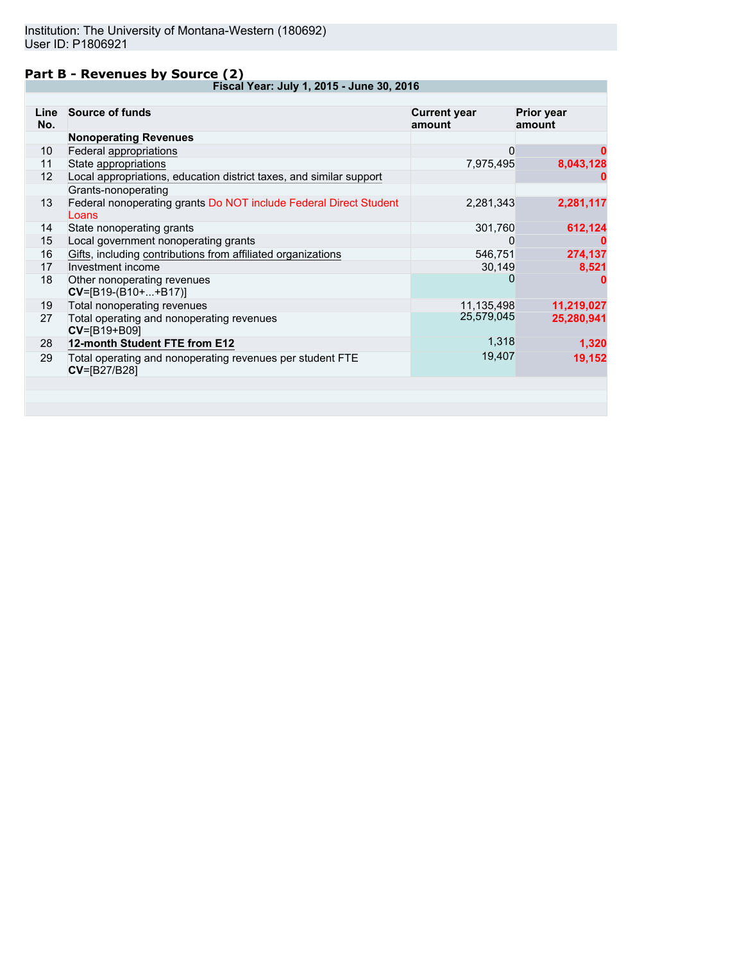# **Part B - Revenues by Source (2)**

**Fiscal Year: July 1, 2015 - June 30, 2016**

| Line<br>No. | <b>Source of funds</b>                                                           | <b>Current year</b><br>amount | <b>Prior year</b><br>amount |
|-------------|----------------------------------------------------------------------------------|-------------------------------|-----------------------------|
|             | <b>Nonoperating Revenues</b>                                                     |                               |                             |
| 10          | Federal appropriations                                                           | $\mathbf 0$                   | 0                           |
| 11          | State appropriations                                                             | 7,975,495                     | 8,043,128                   |
| 12          | Local appropriations, education district taxes, and similar support              |                               |                             |
|             | Grants-nonoperating                                                              |                               |                             |
| 13          | Federal nonoperating grants Do NOT include Federal Direct Student<br>Loans       | 2,281,343                     | 2,281,117                   |
| 14          | State nonoperating grants                                                        | 301,760                       | 612,124                     |
| 15          | Local government nonoperating grants                                             | 0                             | 0                           |
| 16          | Gifts, including contributions from affiliated organizations                     | 546,751                       | 274,137                     |
| 17          | Investment income                                                                | 30,149                        | 8,521                       |
| 18          | Other nonoperating revenues<br>$CV=[B19-(B10++B17)]$                             | 0                             | o                           |
| 19          | Total nonoperating revenues                                                      | 11,135,498                    | 11,219,027                  |
| 27          | Total operating and nonoperating revenues<br>CV=[B19+B09]                        | 25,579,045                    | 25,280,941                  |
| 28          | 12-month Student FTE from E12                                                    | 1,318                         | 1,320                       |
| 29          | Total operating and nonoperating revenues per student FTE<br><b>CV=[B27/B28]</b> | 19,407                        | 19,152                      |
|             |                                                                                  |                               |                             |
|             |                                                                                  |                               |                             |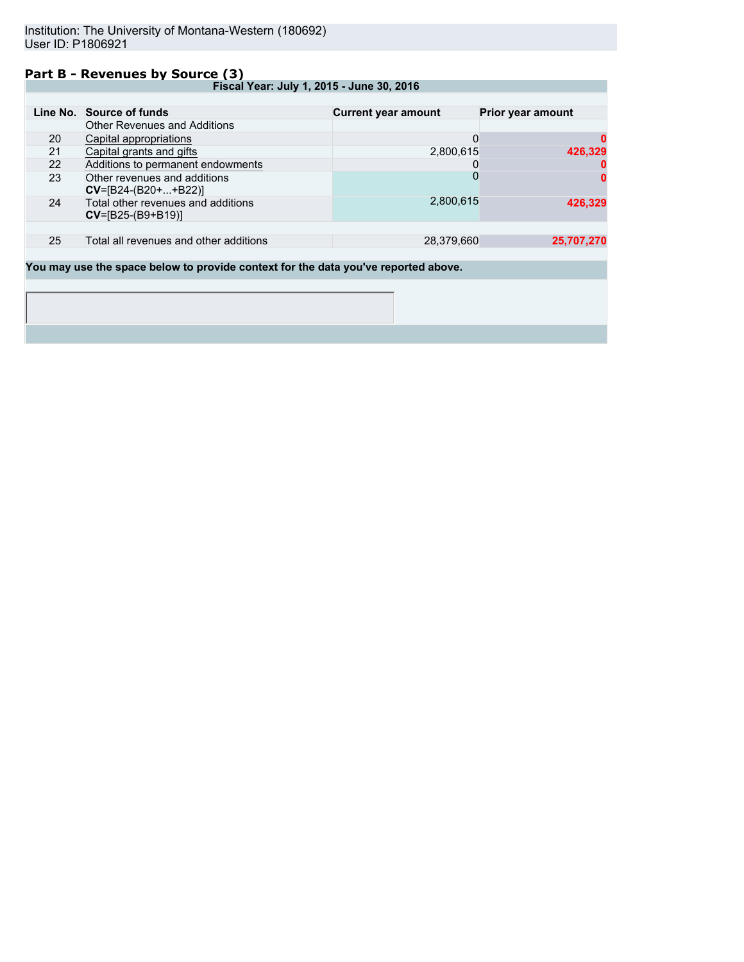## **Part B - Revenues by Source (3)**

**Fiscal Year: July 1, 2015 - June 30, 2016**

|                                                                                    | Line No. Source of funds                                    | <b>Current year amount</b> | Prior year amount |  |
|------------------------------------------------------------------------------------|-------------------------------------------------------------|----------------------------|-------------------|--|
|                                                                                    | <b>Other Revenues and Additions</b>                         |                            |                   |  |
| 20                                                                                 | Capital appropriations                                      | 0                          |                   |  |
| 21                                                                                 | Capital grants and gifts                                    | 2,800,615                  | 426,329           |  |
| 22                                                                                 | Additions to permanent endowments                           | O                          |                   |  |
| 23                                                                                 | Other revenues and additions<br>$CV=[B24-(B20++B22)]$       | $\Omega$                   |                   |  |
| 24                                                                                 | Total other revenues and additions<br>$CV = [B25-(B9+B19)]$ | 2,800,615                  | 426.329           |  |
|                                                                                    |                                                             |                            |                   |  |
| 25                                                                                 | Total all revenues and other additions                      | 28,379,660                 | 25,707,270        |  |
|                                                                                    |                                                             |                            |                   |  |
| You may use the space below to provide context for the data you've reported above. |                                                             |                            |                   |  |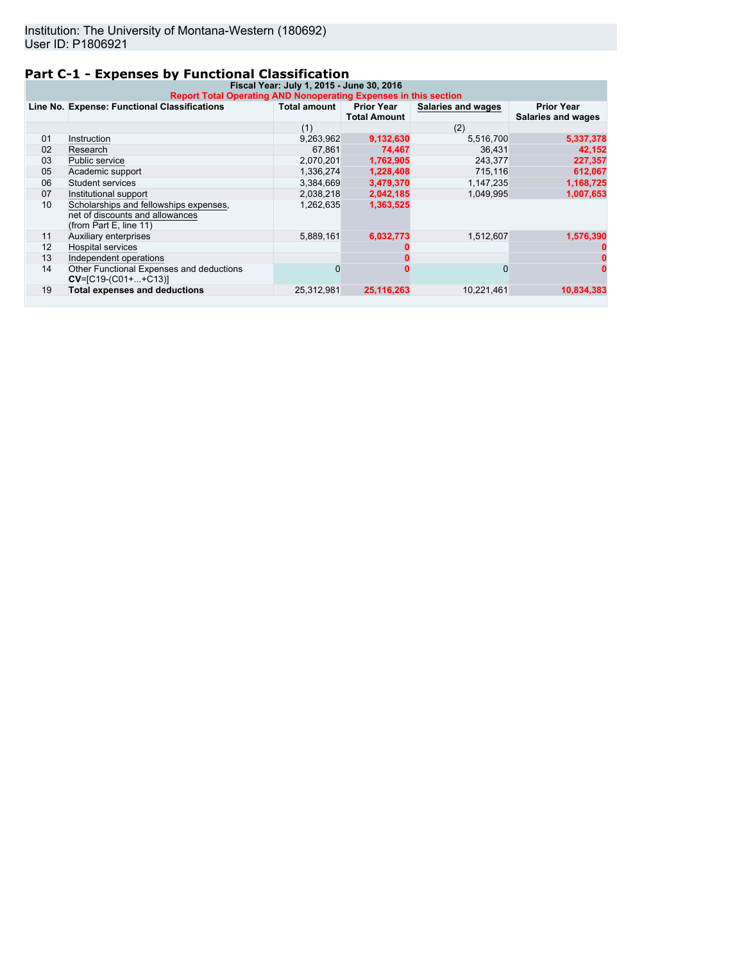# **Part C-1 - Expenses by Functional Classification**

| Fiscal Year: July 1, 2015 - June 30, 2016<br>Report Total Operating AND Nonoperating Expenses in this section |                                                                                                     |                     |                                          |                    |                                         |
|---------------------------------------------------------------------------------------------------------------|-----------------------------------------------------------------------------------------------------|---------------------|------------------------------------------|--------------------|-----------------------------------------|
|                                                                                                               | Line No. Expense: Functional Classifications                                                        | <b>Total amount</b> | <b>Prior Year</b><br><b>Total Amount</b> | Salaries and wages | <b>Prior Year</b><br>Salaries and wages |
|                                                                                                               |                                                                                                     | (1)                 |                                          | (2)                |                                         |
| 01                                                                                                            | Instruction                                                                                         | 9,263,962           | 9,132,630                                | 5,516,700          | 5,337,378                               |
| 02                                                                                                            | Research                                                                                            | 67.861              | 74.467                                   | 36.431             | 42,152                                  |
| 03                                                                                                            | Public service                                                                                      | 2,070,201           | 1,762,905                                | 243.377            | 227,357                                 |
| 05                                                                                                            | Academic support                                                                                    | 1,336,274           | 1,228,408                                | 715,116            | 612,067                                 |
| 06                                                                                                            | Student services                                                                                    | 3,384,669           | 3,479,370                                | 1,147,235          | 1,168,725                               |
| 07                                                                                                            | Institutional support                                                                               | 2,038,218           | 2,042,185                                | 1,049,995          | 1,007,653                               |
| 10                                                                                                            | Scholarships and fellowships expenses,<br>net of discounts and allowances<br>(from Part E, line 11) | 1,262,635           | 1,363,525                                |                    |                                         |
| 11                                                                                                            | Auxiliary enterprises                                                                               | 5.889.161           | 6,032,773                                | 1,512,607          | 1,576,390                               |
| 12                                                                                                            | <b>Hospital services</b>                                                                            |                     |                                          |                    |                                         |
| 13                                                                                                            | Independent operations                                                                              |                     |                                          |                    |                                         |
| 14                                                                                                            | Other Functional Expenses and deductions<br>$CV=[C19-(C01++C13)]$                                   | 0                   |                                          | $\Omega$           |                                         |
| 19                                                                                                            | <b>Total expenses and deductions</b>                                                                | 25,312,981          | 25,116,263                               | 10,221,461         | 10,834,383                              |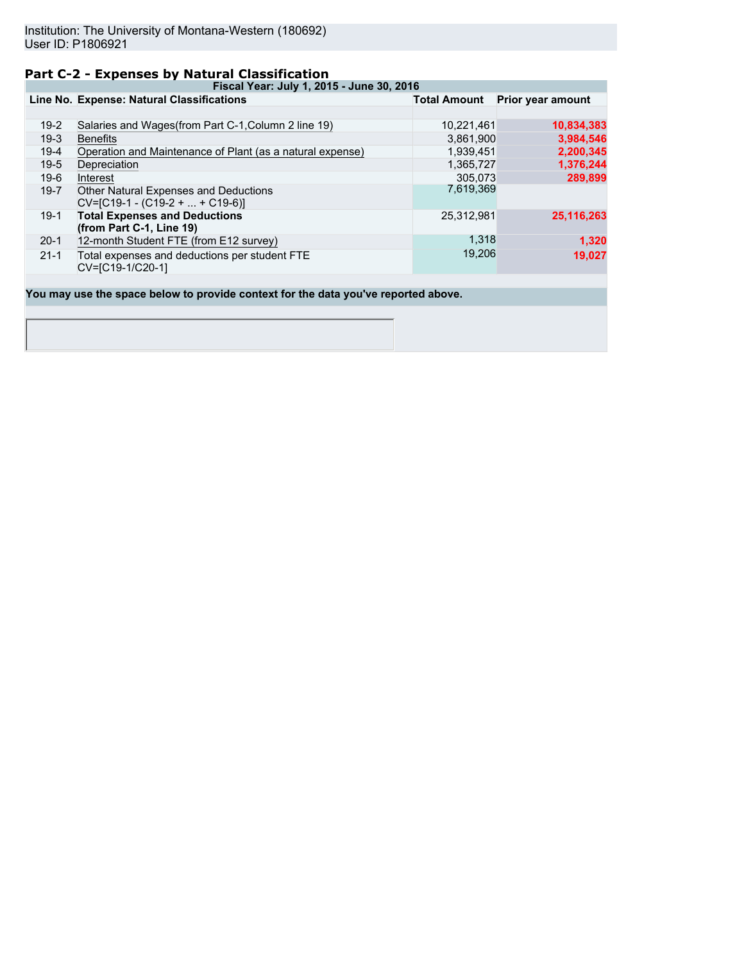# **Part C-2 - Expenses by Natural Classification**

**Fiscal Year: July 1, 2015 - June 30, 2016**

|          | Line No. Expense: Natural Classifications                                  | <b>Total Amount</b> | Prior year amount |
|----------|----------------------------------------------------------------------------|---------------------|-------------------|
|          |                                                                            |                     |                   |
| $19-2$   | Salaries and Wages (from Part C-1, Column 2 line 19)                       | 10,221,461          | 10,834,383        |
| $19-3$   | <b>Benefits</b>                                                            | 3,861,900           | 3,984,546         |
| $19-4$   | Operation and Maintenance of Plant (as a natural expense)                  | 1,939,451           | 2,200,345         |
| $19-5$   | Depreciation                                                               | 1,365,727           | 1,376,244         |
| $19-6$   | Interest                                                                   | 305.073             | 289,899           |
| $19 - 7$ | Other Natural Expenses and Deductions<br>$CV=[C19-1 - (C19-2 +  + C19-6)]$ | 7,619,369           |                   |
| $19-1$   | <b>Total Expenses and Deductions</b><br>(from Part C-1, Line 19)           | 25,312,981          | 25,116,263        |
| $20-1$   | 12-month Student FTE (from E12 survey)                                     | 1,318               | 1,320             |
| $21 - 1$ | Total expenses and deductions per student FTE<br>CV=[C19-1/C20-1]          | 19,206              | 19,027            |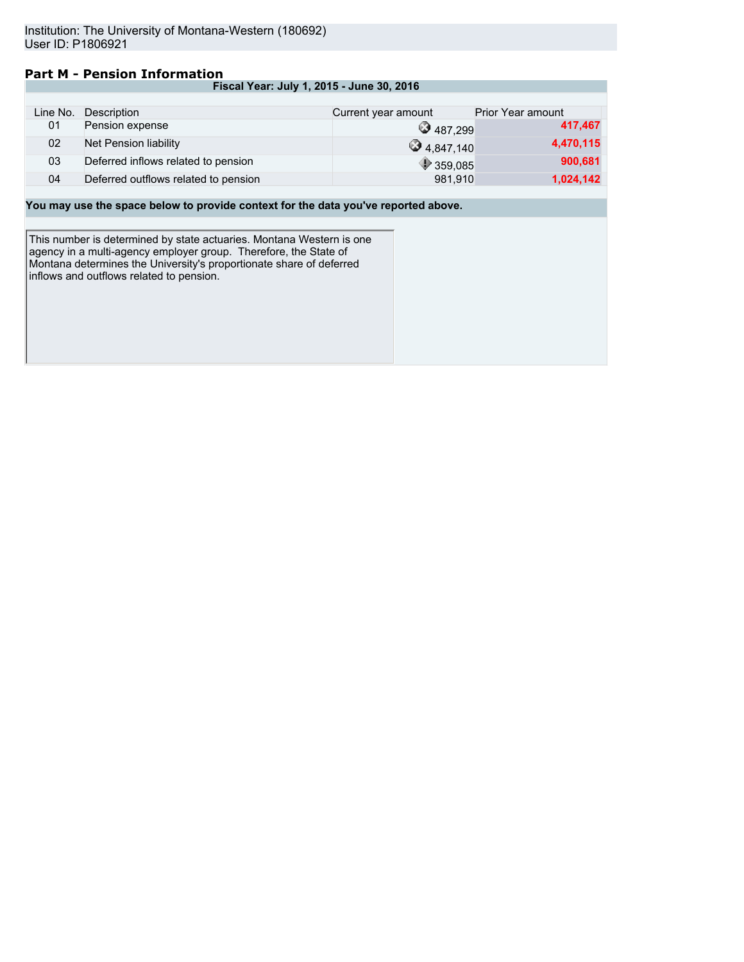# **Part M - Pension Information**

| Fiscal Year: July 1, 2015 - June 30, 2016 |  |  |
|-------------------------------------------|--|--|
|-------------------------------------------|--|--|

| Line No. | Description                          | Current year amount | <b>Prior Year amount</b> |
|----------|--------------------------------------|---------------------|--------------------------|
| 01       | Pension expense                      | 3487.299            | 417,467                  |
| 02       | Net Pension liability                | $\bullet$ 4.847.140 | 4,470,115                |
| 03       | Deferred inflows related to pension  | $\bigcirc$ 359,085  | 900,681                  |
| 04       | Deferred outflows related to pension | 981.910             | 1,024,142                |

## **You may use the space below to provide context for the data you've reported above.**

This number is determined by state actuaries. Montana Western is one agency in a multi-agency employer group. Therefore, the State of Montana determines the University's proportionate share of deferred inflows and outflows related to pension.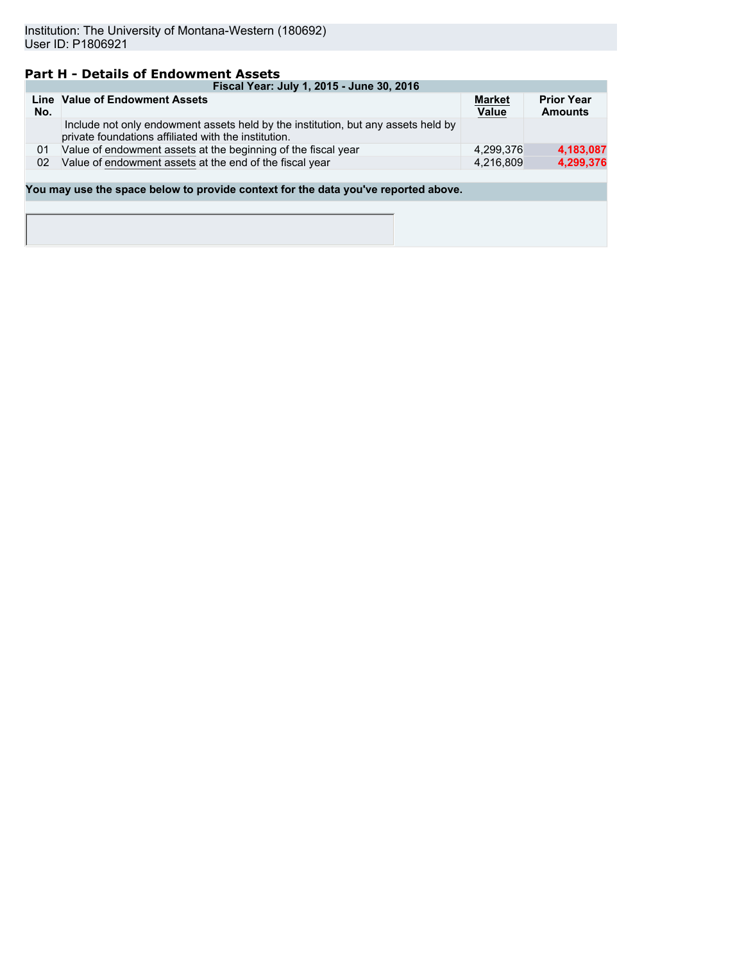# **Part H - Details of Endowment Assets**

|     | Fiscal Year: July 1, 2015 - June 30, 2016                                                                                                 |                        |                                     |  |  |  |  |  |
|-----|-------------------------------------------------------------------------------------------------------------------------------------------|------------------------|-------------------------------------|--|--|--|--|--|
| No. | Line Value of Endowment Assets                                                                                                            | <b>Market</b><br>Value | <b>Prior Year</b><br><b>Amounts</b> |  |  |  |  |  |
|     | Include not only endowment assets held by the institution, but any assets held by<br>private foundations affiliated with the institution. |                        |                                     |  |  |  |  |  |
| 01  | Value of endowment assets at the beginning of the fiscal year                                                                             | 4,299,376              | 4,183,087                           |  |  |  |  |  |
| 02  | Value of endowment assets at the end of the fiscal year                                                                                   | 4,216,809              | 4,299,376                           |  |  |  |  |  |
|     |                                                                                                                                           |                        |                                     |  |  |  |  |  |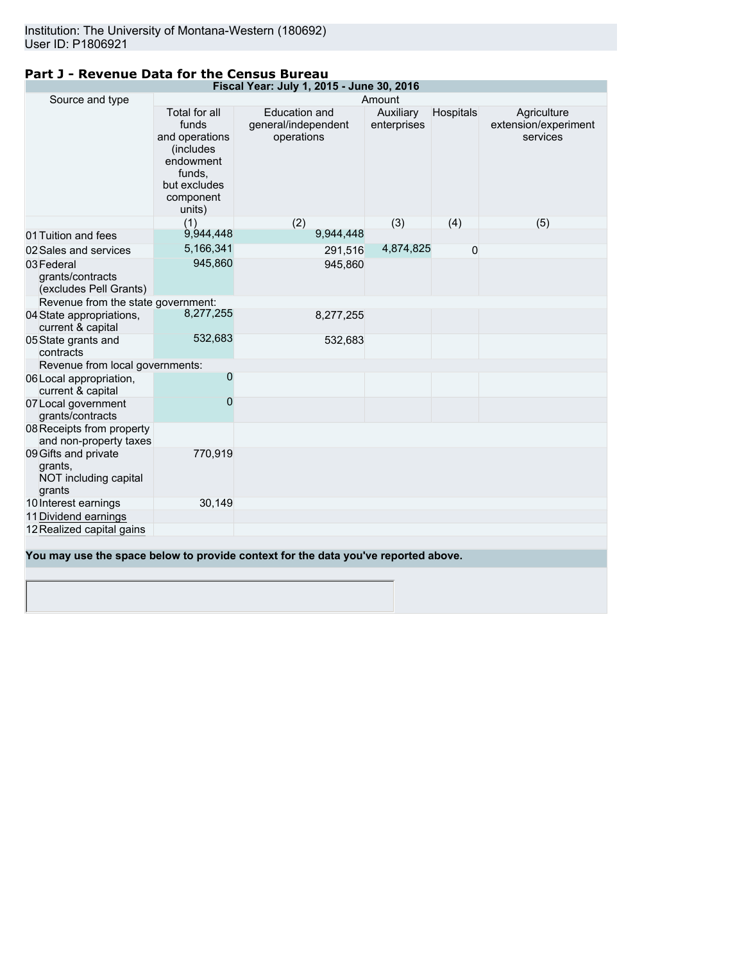| Fiscal Year: July 1, 2015 - June 30, 2016                          |                                                                                                                      |                                                                                    |                          |           |                                                 |  |
|--------------------------------------------------------------------|----------------------------------------------------------------------------------------------------------------------|------------------------------------------------------------------------------------|--------------------------|-----------|-------------------------------------------------|--|
| Source and type<br>Amount                                          |                                                                                                                      |                                                                                    |                          |           |                                                 |  |
|                                                                    | Total for all<br>funds<br>and operations<br>(includes)<br>endowment<br>funds,<br>but excludes<br>component<br>units) | <b>Education and</b><br>general/independent<br>operations                          | Auxiliary<br>enterprises | Hospitals | Agriculture<br>extension/experiment<br>services |  |
|                                                                    | (1)                                                                                                                  | (2)                                                                                | (3)                      | (4)       | (5)                                             |  |
| 01 Tuition and fees                                                | 9,944,448                                                                                                            | 9,944,448                                                                          |                          |           |                                                 |  |
| 02 Sales and services                                              | 5,166,341                                                                                                            | 291,516                                                                            | 4,874,825                | $\Omega$  |                                                 |  |
| 03 Federal<br>grants/contracts<br>(excludes Pell Grants)           | 945,860                                                                                                              | 945,860                                                                            |                          |           |                                                 |  |
| Revenue from the state government:                                 |                                                                                                                      |                                                                                    |                          |           |                                                 |  |
| 04 State appropriations,<br>current & capital                      | 8,277,255                                                                                                            | 8,277,255                                                                          |                          |           |                                                 |  |
| 05 State grants and<br>contracts                                   | 532,683                                                                                                              | 532,683                                                                            |                          |           |                                                 |  |
| Revenue from local governments:                                    |                                                                                                                      |                                                                                    |                          |           |                                                 |  |
| 06 Local appropriation,<br>current & capital                       | 0                                                                                                                    |                                                                                    |                          |           |                                                 |  |
| 07 Local government<br>grants/contracts                            | 0                                                                                                                    |                                                                                    |                          |           |                                                 |  |
| 08 Receipts from property<br>and non-property taxes                |                                                                                                                      |                                                                                    |                          |           |                                                 |  |
| 09 Gifts and private<br>grants,<br>NOT including capital<br>grants | 770,919                                                                                                              |                                                                                    |                          |           |                                                 |  |
| 10 Interest earnings                                               | 30,149                                                                                                               |                                                                                    |                          |           |                                                 |  |
| 11 Dividend earnings                                               |                                                                                                                      |                                                                                    |                          |           |                                                 |  |
| 12 Realized capital gains                                          |                                                                                                                      |                                                                                    |                          |           |                                                 |  |
|                                                                    |                                                                                                                      |                                                                                    |                          |           |                                                 |  |
|                                                                    |                                                                                                                      | You may use the space below to provide context for the data you've reported above. |                          |           |                                                 |  |

# **Part J - Revenue Data for the Census Bureau**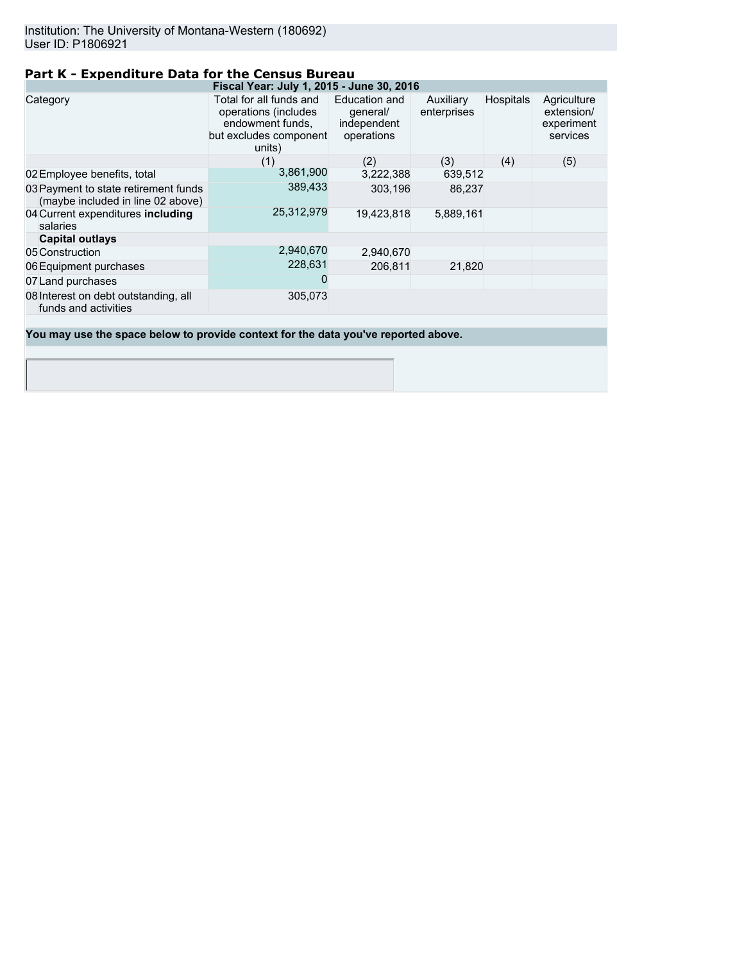# **Part K - Expenditure Data for the Census Bureau**

| Fiscal Year: July 1, 2015 - June 30, 2016                                 |                                                                                                         |                                                        |                          |                  |                                                     |
|---------------------------------------------------------------------------|---------------------------------------------------------------------------------------------------------|--------------------------------------------------------|--------------------------|------------------|-----------------------------------------------------|
| Category                                                                  | Total for all funds and<br>operations (includes<br>endowment funds,<br>but excludes component<br>units) | Education and<br>qeneral/<br>independent<br>operations | Auxiliary<br>enterprises | <b>Hospitals</b> | Agriculture<br>extension/<br>experiment<br>services |
|                                                                           | (1)                                                                                                     | (2)                                                    | (3)                      | (4)              | (5)                                                 |
| 02 Employee benefits, total                                               | 3,861,900                                                                                               | 3,222,388                                              | 639,512                  |                  |                                                     |
| 03 Payment to state retirement funds<br>(maybe included in line 02 above) | 389,433                                                                                                 | 303,196                                                | 86.237                   |                  |                                                     |
| 04 Current expenditures including<br>salaries                             | 25,312,979                                                                                              | 19.423.818                                             | 5.889.161                |                  |                                                     |
| <b>Capital outlays</b>                                                    |                                                                                                         |                                                        |                          |                  |                                                     |
| 05 Construction                                                           | 2,940,670                                                                                               | 2,940,670                                              |                          |                  |                                                     |
| 06 Equipment purchases                                                    | 228,631                                                                                                 | 206,811                                                | 21,820                   |                  |                                                     |
| 07 Land purchases                                                         | O                                                                                                       |                                                        |                          |                  |                                                     |
| 08 Interest on debt outstanding, all<br>funds and activities              | 305,073                                                                                                 |                                                        |                          |                  |                                                     |
|                                                                           |                                                                                                         |                                                        |                          |                  |                                                     |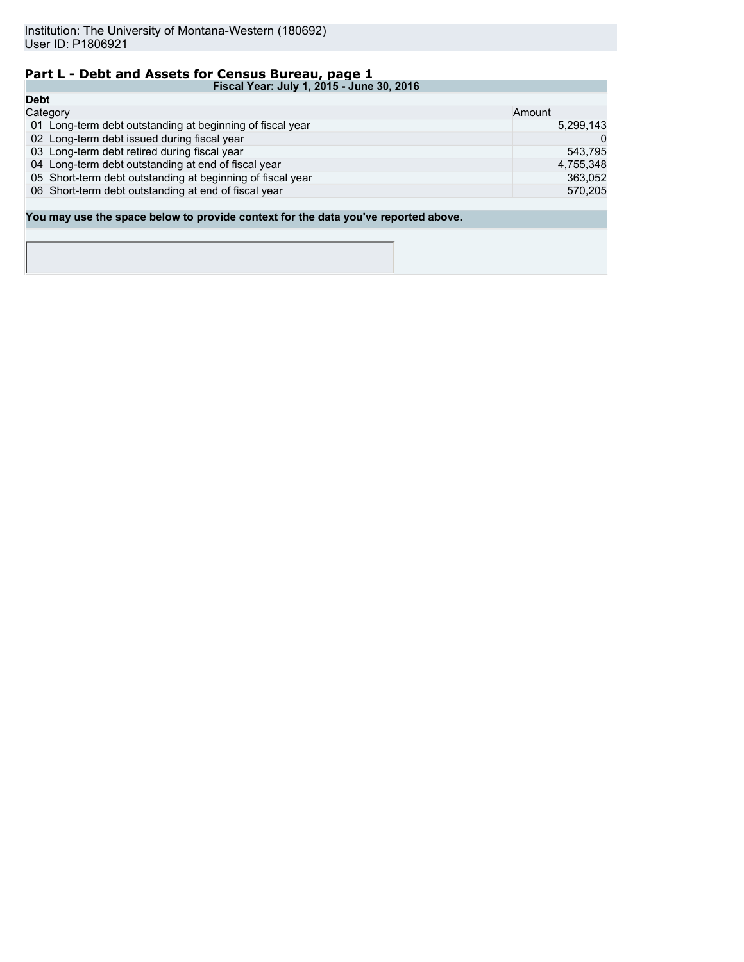# **Part L - Debt and Assets for Census Bureau, page 1**

| Fiscal Year: July 1, 2015 - June 30, 2016                                          |           |  |  |
|------------------------------------------------------------------------------------|-----------|--|--|
| <b>Debt</b>                                                                        |           |  |  |
| Category                                                                           | Amount    |  |  |
| 01 Long-term debt outstanding at beginning of fiscal year                          | 5,299,143 |  |  |
| 02 Long-term debt issued during fiscal year                                        |           |  |  |
| 03 Long-term debt retired during fiscal year                                       | 543.795   |  |  |
| 04 Long-term debt outstanding at end of fiscal year                                | 4,755,348 |  |  |
| 05 Short-term debt outstanding at beginning of fiscal year                         | 363.052   |  |  |
| 06 Short-term debt outstanding at end of fiscal year                               | 570,205   |  |  |
|                                                                                    |           |  |  |
| You may use the space below to provide context for the data you've reported above. |           |  |  |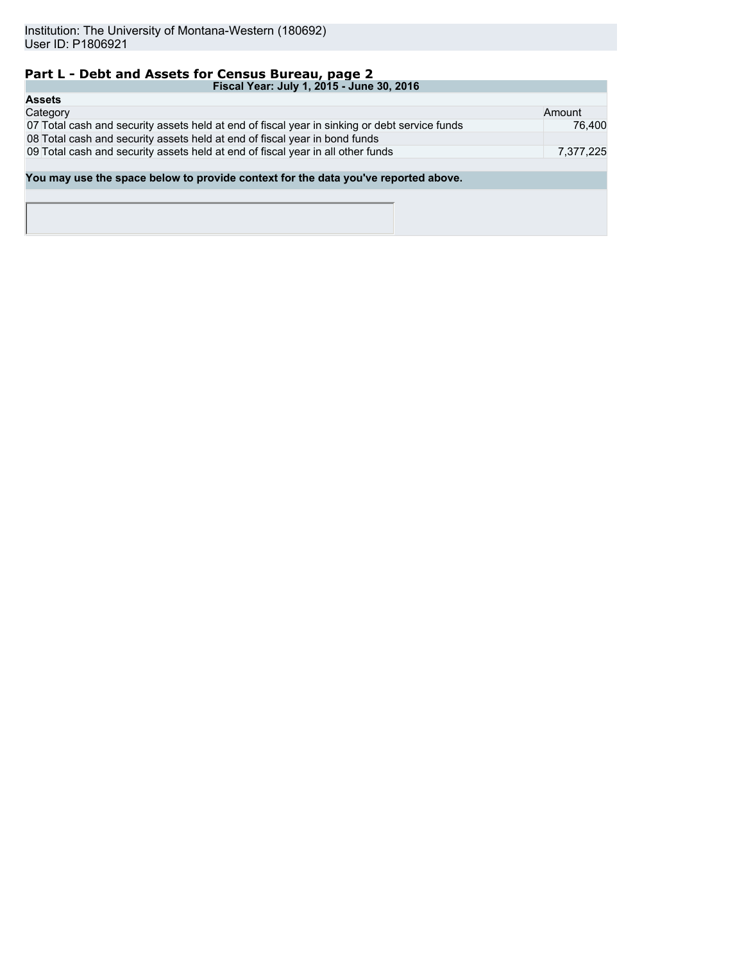# **Part L - Debt and Assets for Census Bureau, page 2**

| Fiscal Year: July 1, 2015 - June 30, 2016                                                     |           |  |  |  |
|-----------------------------------------------------------------------------------------------|-----------|--|--|--|
| <b>Assets</b>                                                                                 |           |  |  |  |
| Category                                                                                      | Amount    |  |  |  |
| 07 Total cash and security assets held at end of fiscal year in sinking or debt service funds | 76.400    |  |  |  |
| 08 Total cash and security assets held at end of fiscal year in bond funds                    |           |  |  |  |
| 09 Total cash and security assets held at end of fiscal year in all other funds               | 7,377,225 |  |  |  |
|                                                                                               |           |  |  |  |
| You may use the space below to provide context for the data you've reported above.            |           |  |  |  |
|                                                                                               |           |  |  |  |
|                                                                                               |           |  |  |  |
|                                                                                               |           |  |  |  |
|                                                                                               |           |  |  |  |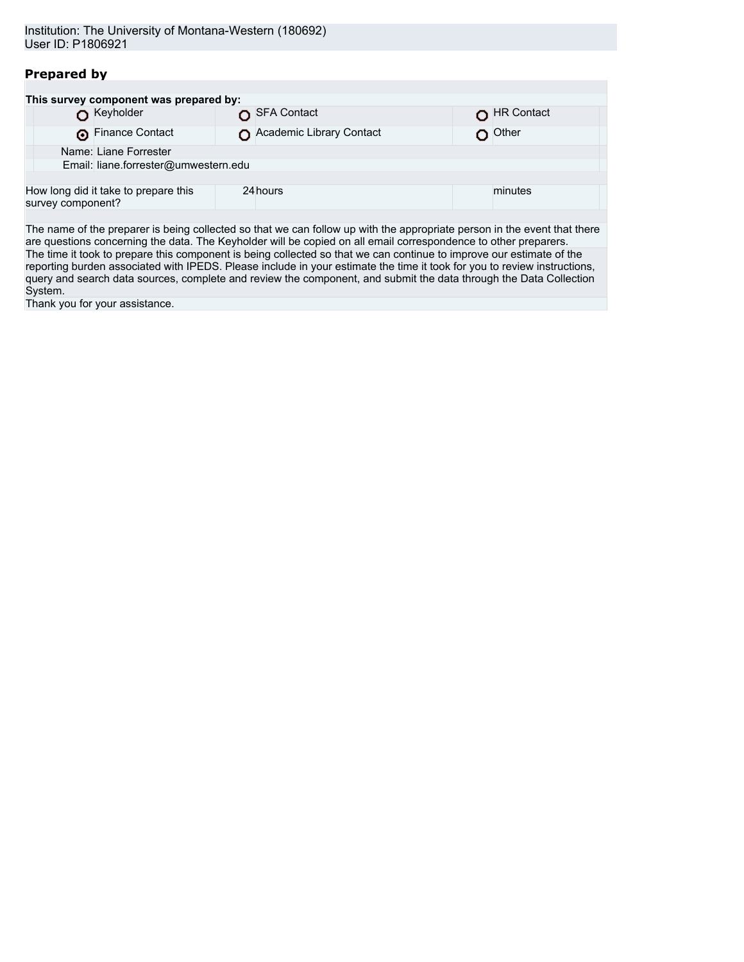| Institution: The University of Montana-Western (180692) |  |
|---------------------------------------------------------|--|
| User ID: P1806921                                       |  |

# **Prepared by**

|                       | This survey component was prepared by: |  |                          |  |            |  |
|-----------------------|----------------------------------------|--|--------------------------|--|------------|--|
|                       | Keyholder                              |  | SFA Contact              |  | HR Contact |  |
|                       | Finance Contact                        |  | Academic Library Contact |  | Other      |  |
| Name: Liane Forrester |                                        |  |                          |  |            |  |
|                       | Email: liane.forrester@umwestern.edu   |  |                          |  |            |  |
|                       |                                        |  |                          |  |            |  |
| survey component?     | How long did it take to prepare this   |  | 24 hours                 |  | minutes    |  |

The name of the preparer is being collected so that we can follow up with the appropriate person in the event that there are questions concerning the data. The Keyholder will be copied on all email correspondence to other preparers. The time it took to prepare this component is being collected so that we can continue to improve our estimate of the reporting burden associated with IPEDS. Please include in your estimate the time it took for you to review instructions, query and search data sources, complete and review the component, and submit the data through the Data Collection System.

Thank you for your assistance.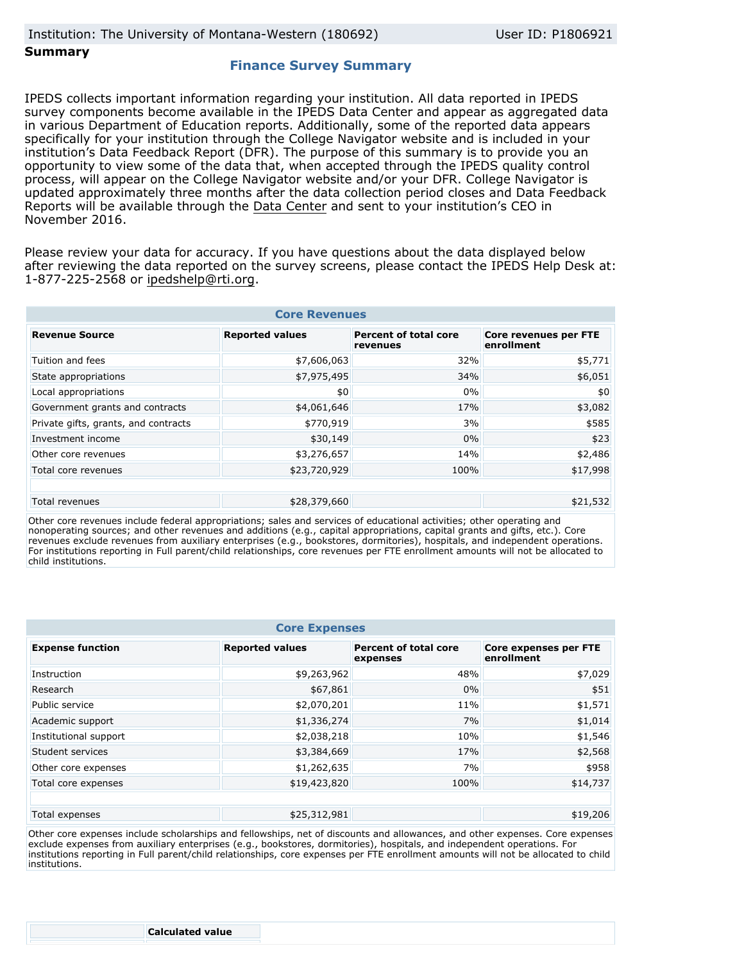## **Finance Survey Summary**

IPEDS collects important information regarding your institution. All data reported in IPEDS survey components become available in the IPEDS Data Center and appear as aggregated data in various Department of Education reports. Additionally, some of the reported data appears specifically for your institution through the College Navigator website and is included in your institution's Data Feedback Report (DFR). The purpose of this summary is to provide you an opportunity to view some of the data that, when accepted through the IPEDS quality control process, will appear on the College Navigator website and/or your DFR. College Navigator is updated approximately three months after the data collection period closes and Data Feedback Reports will be available through the [Data Center](http://nces.ed.gov/ipeds/datacenter/) and sent to your institution's CEO in November 2016.

Please review your data for accuracy. If you have questions about the data displayed below after reviewing the data reported on the survey screens, please contact the IPEDS Help Desk at: 1-877-225-2568 or ipedshelp@rti.org.

| <b>Core Revenues</b>                 |                        |                                          |                                     |  |  |  |
|--------------------------------------|------------------------|------------------------------------------|-------------------------------------|--|--|--|
| <b>Revenue Source</b>                | <b>Reported values</b> | <b>Percent of total core</b><br>revenues | Core revenues per FTE<br>enrollment |  |  |  |
| Tuition and fees                     | \$7,606,063            | 32%                                      | \$5,771                             |  |  |  |
| State appropriations                 | \$7,975,495            | 34%                                      | \$6,051                             |  |  |  |
| Local appropriations                 | \$0                    | 0%                                       | \$0                                 |  |  |  |
| Government grants and contracts      | \$4,061,646            | 17%                                      | \$3,082                             |  |  |  |
| Private gifts, grants, and contracts | \$770,919              | 3%                                       | \$585                               |  |  |  |
| Investment income                    | \$30,149               | 0%                                       | \$23                                |  |  |  |
| Other core revenues                  | \$3,276,657            | 14%                                      | \$2,486                             |  |  |  |
| Total core revenues                  | \$23,720,929           | 100%                                     | \$17,998                            |  |  |  |
|                                      |                        |                                          |                                     |  |  |  |
| Total revenues                       | \$28,379,660           |                                          | \$21,532                            |  |  |  |

Other core revenues include federal appropriations; sales and services of educational activities; other operating and nonoperating sources; and other revenues and additions (e.g., capital appropriations, capital grants and gifts, etc.). Core revenues exclude revenues from auxiliary enterprises (e.g., bookstores, dormitories), hospitals, and independent operations. For institutions reporting in Full parent/child relationships, core revenues per FTE enrollment amounts will not be allocated to child institutions.

| <b>Core Expenses</b>    |                        |                                          |                                     |  |  |  |
|-------------------------|------------------------|------------------------------------------|-------------------------------------|--|--|--|
| <b>Expense function</b> | <b>Reported values</b> | <b>Percent of total core</b><br>expenses | Core expenses per FTE<br>enrollment |  |  |  |
| Instruction             | \$9,263,962            | 48%                                      | \$7,029                             |  |  |  |
| Research                | \$67,861               | 0%                                       | \$51                                |  |  |  |
| Public service          | \$2,070,201            | 11%                                      | \$1,571                             |  |  |  |
| Academic support        | \$1,336,274            | 7%                                       | \$1,014                             |  |  |  |
| Institutional support   | \$2,038,218            | 10%                                      | \$1,546                             |  |  |  |
| Student services        | \$3,384,669            | 17%                                      | \$2,568                             |  |  |  |
| Other core expenses     | \$1,262,635            | 7%                                       | \$958                               |  |  |  |
| Total core expenses     | \$19,423,820           | 100%                                     | \$14,737                            |  |  |  |
|                         |                        |                                          |                                     |  |  |  |
| Total expenses          | \$25,312,981           |                                          | \$19,206                            |  |  |  |

Other core expenses include scholarships and fellowships, net of discounts and allowances, and other expenses. Core expenses exclude expenses from auxiliary enterprises (e.g., bookstores, dormitories), hospitals, and independent operations. For institutions reporting in Full parent/child relationships, core expenses per FTE enrollment amounts will not be allocated to child institutions.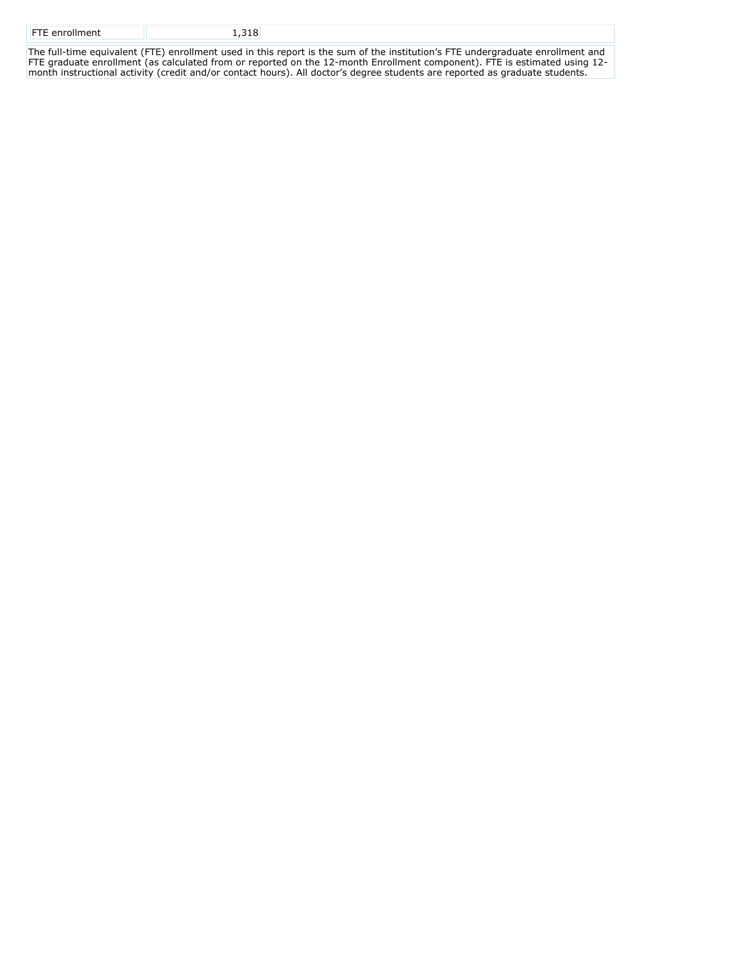| <b>FTE</b> enrollment |  |
|-----------------------|--|
|                       |  |
|                       |  |

The full-time equivalent (FTE) enrollment used in this report is the sum of the institution's FTE undergraduate enrollment and FTE graduate enrollment (as calculated from or reported on the 12-month Enrollment component). FTE is estimated using 12 month instructional activity (credit and/or contact hours). All doctor's degree students are reported as graduate students.